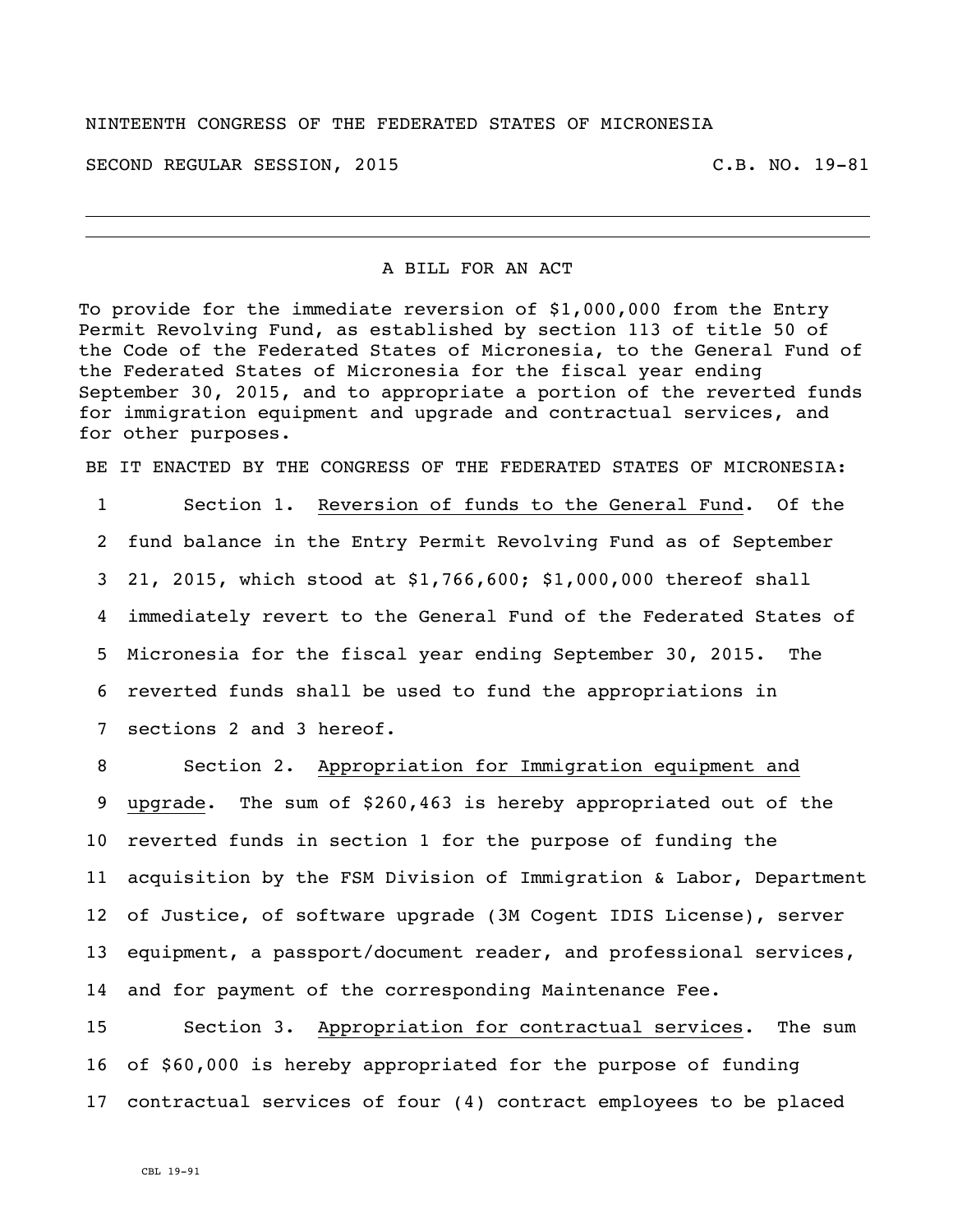## NINTEENTH CONGRESS OF THE FEDERATED STATES OF MICRONESIA

SECOND REGULAR SESSION, 2015 C.B. NO. 19-81

## A BILL FOR AN ACT

To provide for the immediate reversion of \$1,000,000 from the Entry Permit Revolving Fund, as established by section 113 of title 50 of the Code of the Federated States of Micronesia, to the General Fund of the Federated States of Micronesia for the fiscal year ending September 30, 2015, and to appropriate a portion of the reverted funds for immigration equipment and upgrade and contractual services, and for other purposes.

BE IT ENACTED BY THE CONGRESS OF THE FEDERATED STATES OF MICRONESIA:

 Section 1. Reversion of funds to the General Fund. Of the fund balance in the Entry Permit Revolving Fund as of September 21, 2015, which stood at \$1,766,600; \$1,000,000 thereof shall immediately revert to the General Fund of the Federated States of Micronesia for the fiscal year ending September 30, 2015. The reverted funds shall be used to fund the appropriations in sections 2 and 3 hereof.

 Section 2. Appropriation for Immigration equipment and upgrade. The sum of \$260,463 is hereby appropriated out of the reverted funds in section 1 for the purpose of funding the acquisition by the FSM Division of Immigration & Labor, Department of Justice, of software upgrade (3M Cogent IDIS License), server equipment, a passport/document reader, and professional services, 14 and for payment of the corresponding Maintenance Fee.

15 Section 3. Appropriation for contractual services. The sum 16 of \$60,000 is hereby appropriated for the purpose of funding 17 contractual services of four (4) contract employees to be placed